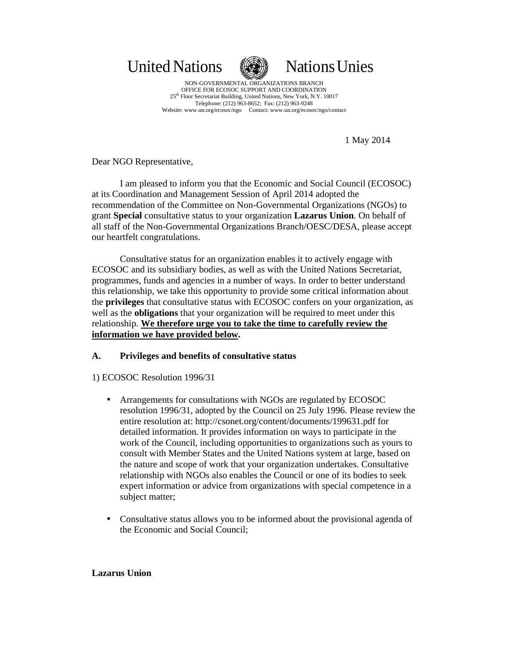United Nations **National Nations** Unies



NON-GOVERNMENTAL ORGANIZATIONS BRANCH OFFICE FOR ECOSOC SUPPORT AND COORDINATION 25<sup>th</sup> Floor Secretariat Building, United Nations, New York, N.Y. 10017 Telephone: (212) 963-8652; Fax: (212) 963-9248 Website: www.un.org/ecosoc/ngo Contact: www.un.org/ecosoc/ngo/contact

1 May 2014

Dear NGO Representative,

I am pleased to inform you that the Economic and Social Council (ECOSOC) at its Coordination and Management Session of April 2014 adopted the recommendation of the Committee on Non-Governmental Organizations (NGOs) to grant **Special** consultative status to your organization **Lazarus Union**. On behalf of all staff of the Non-Governmental Organizations Branch/OESC/DESA, please accept our heartfelt congratulations.

Consultative status for an organization enables it to actively engage with ECOSOC and its subsidiary bodies, as well as with the United Nations Secretariat, programmes, funds and agencies in a number of ways. In order to better understand this relationship, we take this opportunity to provide some critical information about the **privileges** that consultative status with ECOSOC confers on your organization, as well as the **obligations** that your organization will be required to meet under this relationship. **We therefore urge you to take the time to carefully review the information we have provided below.** 

# **A. Privileges and benefits of consultative status**

## 1) ECOSOC Resolution 1996/31

- Arrangements for consultations with NGOs are regulated by ECOSOC resolution 1996/31, adopted by the Council on 25 July 1996. Please review the entire resolution at: http://csonet.org/content/documents/199631.pdf for detailed information. It provides information on ways to participate in the work of the Council, including opportunities to organizations such as yours to consult with Member States and the United Nations system at large, based on the nature and scope of work that your organization undertakes. Consultative relationship with NGOs also enables the Council or one of its bodies to seek expert information or advice from organizations with special competence in a subject matter;
- Consultative status allows you to be informed about the provisional agenda of the Economic and Social Council;

#### **Lazarus Union**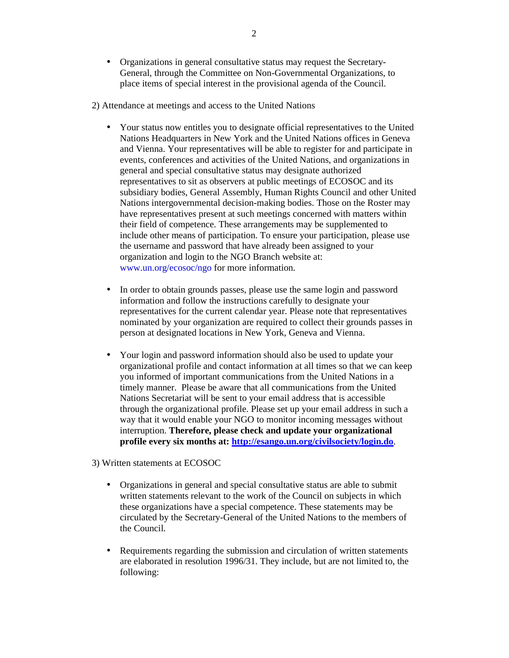- Organizations in general consultative status may request the Secretary-General, through the Committee on Non-Governmental Organizations, to place items of special interest in the provisional agenda of the Council.
- 2) Attendance at meetings and access to the United Nations
	- Your status now entitles you to designate official representatives to the United Nations Headquarters in New York and the United Nations offices in Geneva and Vienna. Your representatives will be able to register for and participate in events, conferences and activities of the United Nations, and organizations in general and special consultative status may designate authorized representatives to sit as observers at public meetings of ECOSOC and its subsidiary bodies, General Assembly, Human Rights Council and other United Nations intergovernmental decision-making bodies. Those on the Roster may have representatives present at such meetings concerned with matters within their field of competence. These arrangements may be supplemented to include other means of participation. To ensure your participation, please use the username and password that have already been assigned to your organization and login to the NGO Branch website at: www.un.org/ecosoc/ngo for more information.
	- In order to obtain grounds passes, please use the same login and password information and follow the instructions carefully to designate your representatives for the current calendar year. Please note that representatives nominated by your organization are required to collect their grounds passes in person at designated locations in New York, Geneva and Vienna.
	- Your login and password information should also be used to update your organizational profile and contact information at all times so that we can keep you informed of important communications from the United Nations in a timely manner. Please be aware that all communications from the United Nations Secretariat will be sent to your email address that is accessible through the organizational profile. Please set up your email address in such a way that it would enable your NGO to monitor incoming messages without interruption. **Therefore, please check and update your organizational profile every six months at: http://esango.un.org/civilsociety/login.do**.
- 3) Written statements at ECOSOC
	- Organizations in general and special consultative status are able to submit written statements relevant to the work of the Council on subjects in which these organizations have a special competence. These statements may be circulated by the Secretary-General of the United Nations to the members of the Council.
	- Requirements regarding the submission and circulation of written statements are elaborated in resolution 1996/31. They include, but are not limited to, the following: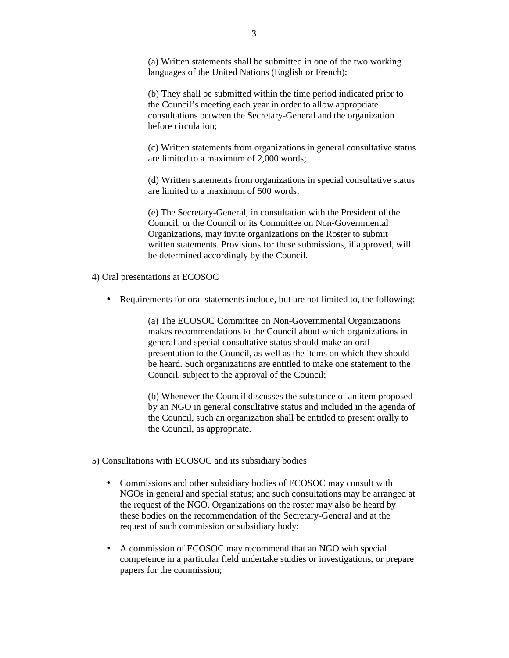(a) Written statements shall be submitted in one of the two working languages of the United Nations (English or French);

(b) They shall be submitted within the time period indicated prior to the Council's meeting each year in order to allow appropriate consultations between the Secretary-General and the organization before circulation;

(c) Written statements from organizations in general consultative status are limited to a maximum of 2,000 words;

(d) Written statements from organizations in special consultative status are limited to a maximum of 500 words;

(e) The Secretary-General, in consultation with the President of the Council, or the Council or its Committee on Non-Governmental Organizations, may invite organizations on the Roster to submit written statements. Provisions for these submissions, if approved, will be determined accordingly by the Council.

4) Oral presentations at ECOSOC

• Requirements for oral statements include, but are not limited to, the following:

(a) The ECOSOC Committee on Non-Governmental Organizations makes recommendations to the Council about which organizations in general and special consultative status should make an oral presentation to the Council, as well as the items on which they should be heard. Such organizations are entitled to make one statement to the Council, subject to the approval of the Council;

(b) Whenever the Council discusses the substance of an item proposed by an NGO in general consultative status and included in the agenda of the Council, such an organization shall be entitled to present orally to the Council, as appropriate.

5) Consultations with ECOSOC and its subsidiary bodies

- Commissions and other subsidiary bodies of ECOSOC may consult with NGOs in general and special status; and such consultations may be arranged at the request of the NGO. Organizations on the roster may also be heard by these bodies on the recommendation of the Secretary-General and at the request of such commission or subsidiary body;
- A commission of ECOSOC may recommend that an NGO with special competence in a particular field undertake studies or investigations, or prepare papers for the commission;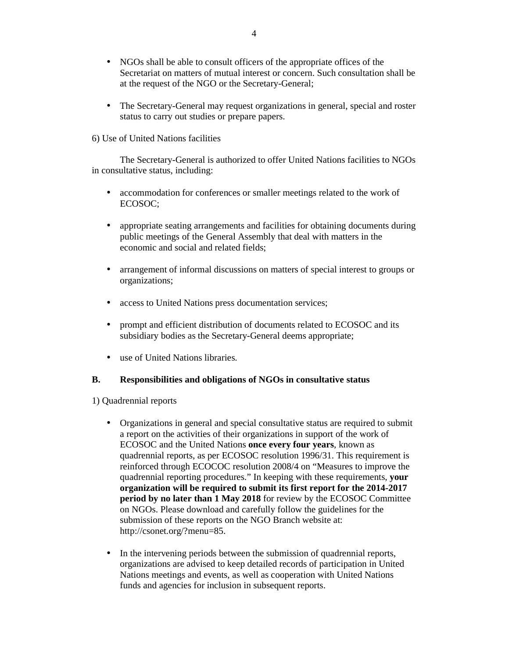- NGOs shall be able to consult officers of the appropriate offices of the Secretariat on matters of mutual interest or concern. Such consultation shall be at the request of the NGO or the Secretary-General;
- The Secretary-General may request organizations in general, special and roster status to carry out studies or prepare papers.
- 6) Use of United Nations facilities

The Secretary-General is authorized to offer United Nations facilities to NGOs in consultative status, including:

- accommodation for conferences or smaller meetings related to the work of ECOSOC;
- appropriate seating arrangements and facilities for obtaining documents during public meetings of the General Assembly that deal with matters in the economic and social and related fields;
- arrangement of informal discussions on matters of special interest to groups or organizations;
- access to United Nations press documentation services;
- prompt and efficient distribution of documents related to ECOSOC and its subsidiary bodies as the Secretary-General deems appropriate;
- use of United Nations libraries.

### **B. Responsibilities and obligations of NGOs in consultative status**

1) Quadrennial reports

- Organizations in general and special consultative status are required to submit a report on the activities of their organizations in support of the work of ECOSOC and the United Nations **once every four years**, known as quadrennial reports, as per ECOSOC resolution 1996/31. This requirement is reinforced through ECOCOC resolution 2008/4 on "Measures to improve the quadrennial reporting procedures." In keeping with these requirements, **your organization will be required to submit its first report for the 2014-2017 period by no later than 1 May 2018** for review by the ECOSOC Committee on NGOs. Please download and carefully follow the guidelines for the submission of these reports on the NGO Branch website at: http://csonet.org/?menu=85.
- In the intervening periods between the submission of quadrennial reports, organizations are advised to keep detailed records of participation in United Nations meetings and events, as well as cooperation with United Nations funds and agencies for inclusion in subsequent reports.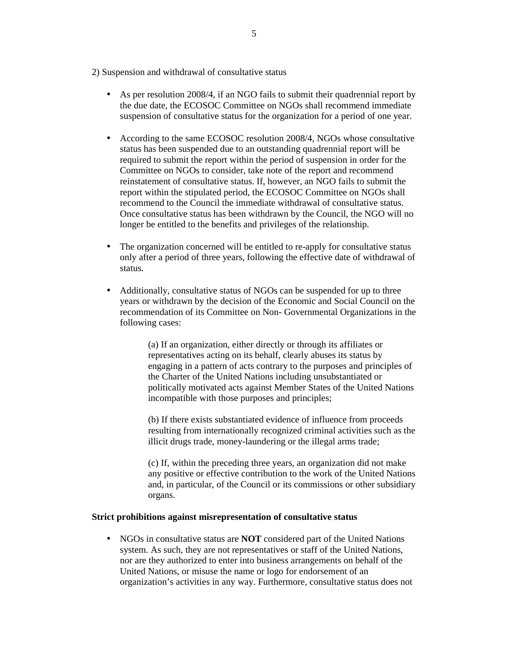2) Suspension and withdrawal of consultative status

- As per resolution 2008/4, if an NGO fails to submit their quadrennial report by the due date, the ECOSOC Committee on NGOs shall recommend immediate suspension of consultative status for the organization for a period of one year.
- According to the same ECOSOC resolution 2008/4, NGOs whose consultative status has been suspended due to an outstanding quadrennial report will be required to submit the report within the period of suspension in order for the Committee on NGOs to consider, take note of the report and recommend reinstatement of consultative status. If, however, an NGO fails to submit the report within the stipulated period, the ECOSOC Committee on NGOs shall recommend to the Council the immediate withdrawal of consultative status. Once consultative status has been withdrawn by the Council, the NGO will no longer be entitled to the benefits and privileges of the relationship.
- The organization concerned will be entitled to re-apply for consultative status only after a period of three years, following the effective date of withdrawal of status.
- Additionally, consultative status of NGOs can be suspended for up to three years or withdrawn by the decision of the Economic and Social Council on the recommendation of its Committee on Non- Governmental Organizations in the following cases:

(a) If an organization, either directly or through its affiliates or representatives acting on its behalf, clearly abuses its status by engaging in a pattern of acts contrary to the purposes and principles of the Charter of the United Nations including unsubstantiated or politically motivated acts against Member States of the United Nations incompatible with those purposes and principles;

(b) If there exists substantiated evidence of influence from proceeds resulting from internationally recognized criminal activities such as the illicit drugs trade, money-laundering or the illegal arms trade;

(c) If, within the preceding three years, an organization did not make any positive or effective contribution to the work of the United Nations and, in particular, of the Council or its commissions or other subsidiary organs.

#### **Strict prohibitions against misrepresentation of consultative status**

• NGOs in consultative status are **NOT** considered part of the United Nations system. As such, they are not representatives or staff of the United Nations, nor are they authorized to enter into business arrangements on behalf of the United Nations, or misuse the name or logo for endorsement of an organization's activities in any way. Furthermore, consultative status does not